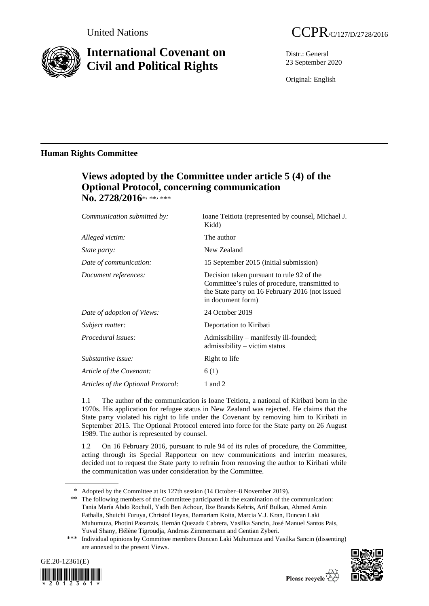

# **International Covenant on Civil and Political Rights**

Distr.: General 23 September 2020

Original: English

## **Human Rights Committee**

# **Views adopted by the Committee under article 5 (4) of the Optional Protocol, concerning communication**  No. 2728/2016\*, \*\*, \*\*\*

| Communication submitted by:        | Ioane Teitiota (represented by counsel, Michael J.<br>Kidd)                                                                                                         |
|------------------------------------|---------------------------------------------------------------------------------------------------------------------------------------------------------------------|
| Alleged victim:                    | The author                                                                                                                                                          |
| <i>State party:</i>                | New Zealand                                                                                                                                                         |
| Date of communication:             | 15 September 2015 (initial submission)                                                                                                                              |
| Document references:               | Decision taken pursuant to rule 92 of the<br>Committee's rules of procedure, transmitted to<br>the State party on 16 February 2016 (not issued<br>in document form) |
| Date of adoption of Views:         | 24 October 2019                                                                                                                                                     |
| Subject matter:                    | Deportation to Kiribati                                                                                                                                             |
| <i>Procedural issues:</i>          | Admissibility – manifestly ill-founded;<br>$admissible \rightarrow victim status$                                                                                   |
| Substantive issue:                 | Right to life                                                                                                                                                       |
| Article of the Covenant:           | 6(1)                                                                                                                                                                |
| Articles of the Optional Protocol: | 1 and 2                                                                                                                                                             |

1.1 The author of the communication is Ioane Teitiota, a national of Kiribati born in the 1970s. His application for refugee status in New Zealand was rejected. He claims that the State party violated his right to life under the Covenant by removing him to Kiribati in September 2015. The Optional Protocol entered into force for the State party on 26 August 1989. The author is represented by counsel.

1.2 On 16 February 2016, pursuant to rule 94 of its rules of procedure, the Committee, acting through its Special Rapporteur on new communications and interim measures, decided not to request the State party to refrain from removing the author to Kiribati while the communication was under consideration by the Committee.

\*\* The following members of the Committee participated in the examination of the communication: Tania María Abdo Rocholl, Yadh Ben Achour, Ilze Brands Kehris, Arif Bulkan, Ahmed Amin Fathalla, Shuichi Furuya, Christof Heyns, Bamariam Koita, Marcia V.J. Kran, Duncan Laki Muhumuza, Photini Pazartzis, Hernán Quezada Cabrera, Vasilka Sancin, José Manuel Santos Pais, Yuval Shany, Hélène Tigroudja, Andreas Zimmermann and Gentian Zyberi.

<sup>\*\*\*</sup> Individual opinions by Committee members Duncan Laki Muhumuza and Vasilka Sancin (dissenting) are annexed to the present Views.





<sup>\*</sup> Adopted by the Committee at its 127th session (14 October–8 November 2019).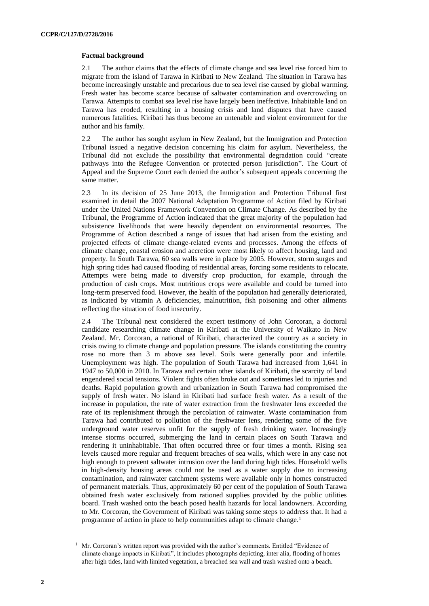#### **Factual background**

2.1 The author claims that the effects of climate change and sea level rise forced him to migrate from the island of Tarawa in Kiribati to New Zealand. The situation in Tarawa has become increasingly unstable and precarious due to sea level rise caused by global warming. Fresh water has become scarce because of saltwater contamination and overcrowding on Tarawa. Attempts to combat sea level rise have largely been ineffective. Inhabitable land on Tarawa has eroded, resulting in a housing crisis and land disputes that have caused numerous fatalities. Kiribati has thus become an untenable and violent environment for the author and his family.

2.2 The author has sought asylum in New Zealand, but the Immigration and Protection Tribunal issued a negative decision concerning his claim for asylum. Nevertheless, the Tribunal did not exclude the possibility that environmental degradation could "create pathways into the Refugee Convention or protected person jurisdiction". The Court of Appeal and the Supreme Court each denied the author's subsequent appeals concerning the same matter.

2.3 In its decision of 25 June 2013, the Immigration and Protection Tribunal first examined in detail the 2007 National Adaptation Programme of Action filed by Kiribati under the United Nations Framework Convention on Climate Change. As described by the Tribunal, the Programme of Action indicated that the great majority of the population had subsistence livelihoods that were heavily dependent on environmental resources. The Programme of Action described a range of issues that had arisen from the existing and projected effects of climate change-related events and processes. Among the effects of climate change, coastal erosion and accretion were most likely to affect housing, land and property. In South Tarawa, 60 sea walls were in place by 2005. However, storm surges and high spring tides had caused flooding of residential areas, forcing some residents to relocate. Attempts were being made to diversify crop production, for example, through the production of cash crops. Most nutritious crops were available and could be turned into long-term preserved food. However, the health of the population had generally deteriorated, as indicated by vitamin A deficiencies, malnutrition, fish poisoning and other ailments reflecting the situation of food insecurity.

2.4 The Tribunal next considered the expert testimony of John Corcoran, a doctoral candidate researching climate change in Kiribati at the University of Waikato in New Zealand. Mr. Corcoran, a national of Kiribati, characterized the country as a society in crisis owing to climate change and population pressure. The islands constituting the country rose no more than 3 m above sea level. Soils were generally poor and infertile. Unemployment was high. The population of South Tarawa had increased from 1,641 in 1947 to 50,000 in 2010. In Tarawa and certain other islands of Kiribati, the scarcity of land engendered social tensions. Violent fights often broke out and sometimes led to injuries and deaths. Rapid population growth and urbanization in South Tarawa had compromised the supply of fresh water. No island in Kiribati had surface fresh water. As a result of the increase in population, the rate of water extraction from the freshwater lens exceeded the rate of its replenishment through the percolation of rainwater. Waste contamination from Tarawa had contributed to pollution of the freshwater lens, rendering some of the five underground water reserves unfit for the supply of fresh drinking water. Increasingly intense storms occurred, submerging the land in certain places on South Tarawa and rendering it uninhabitable. That often occurred three or four times a month. Rising sea levels caused more regular and frequent breaches of sea walls, which were in any case not high enough to prevent saltwater intrusion over the land during high tides. Household wells in high-density housing areas could not be used as a water supply due to increasing contamination, and rainwater catchment systems were available only in homes constructed of permanent materials. Thus, approximately 60 per cent of the population of South Tarawa obtained fresh water exclusively from rationed supplies provided by the public utilities board. Trash washed onto the beach posed health hazards for local landowners. According to Mr. Corcoran, the Government of Kiribati was taking some steps to address that. It had a programme of action in place to help communities adapt to climate change.<sup>1</sup>

 $1$  Mr. Corcoran's written report was provided with the author's comments. Entitled "Evidence of climate change impacts in Kiribati", it includes photographs depicting, inter alia, flooding of homes after high tides, land with limited vegetation, a breached sea wall and trash washed onto a beach.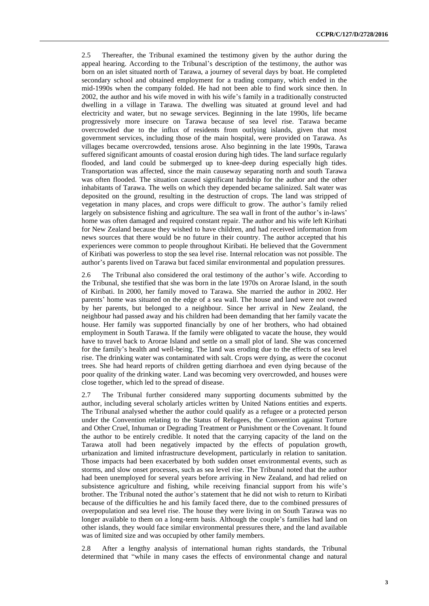2.5 Thereafter, the Tribunal examined the testimony given by the author during the appeal hearing. According to the Tribunal's description of the testimony, the author was born on an islet situated north of Tarawa, a journey of several days by boat. He completed secondary school and obtained employment for a trading company, which ended in the mid-1990s when the company folded. He had not been able to find work since then. In 2002, the author and his wife moved in with his wife's family in a traditionally constructed dwelling in a village in Tarawa. The dwelling was situated at ground level and had electricity and water, but no sewage services. Beginning in the late 1990s, life became progressively more insecure on Tarawa because of sea level rise. Tarawa became overcrowded due to the influx of residents from outlying islands, given that most government services, including those of the main hospital, were provided on Tarawa. As villages became overcrowded, tensions arose. Also beginning in the late 1990s, Tarawa suffered significant amounts of coastal erosion during high tides. The land surface regularly flooded, and land could be submerged up to knee-deep during especially high tides. Transportation was affected, since the main causeway separating north and south Tarawa was often flooded. The situation caused significant hardship for the author and the other inhabitants of Tarawa. The wells on which they depended became salinized. Salt water was deposited on the ground, resulting in the destruction of crops. The land was stripped of vegetation in many places, and crops were difficult to grow. The author's family relied largely on subsistence fishing and agriculture. The sea wall in front of the author's in-laws' home was often damaged and required constant repair. The author and his wife left Kiribati for New Zealand because they wished to have children, and had received information from news sources that there would be no future in their country. The author accepted that his experiences were common to people throughout Kiribati. He believed that the Government of Kiribati was powerless to stop the sea level rise. Internal relocation was not possible. The author's parents lived on Tarawa but faced similar environmental and population pressures.

2.6 The Tribunal also considered the oral testimony of the author's wife. According to the Tribunal, she testified that she was born in the late 1970s on Arorae Island, in the south of Kiribati. In 2000, her family moved to Tarawa. She married the author in 2002. Her parents' home was situated on the edge of a sea wall. The house and land were not owned by her parents, but belonged to a neighbour. Since her arrival in New Zealand, the neighbour had passed away and his children had been demanding that her family vacate the house. Her family was supported financially by one of her brothers, who had obtained employment in South Tarawa. If the family were obligated to vacate the house, they would have to travel back to Arorae Island and settle on a small plot of land. She was concerned for the family's health and well-being. The land was eroding due to the effects of sea level rise. The drinking water was contaminated with salt. Crops were dying, as were the coconut trees. She had heard reports of children getting diarrhoea and even dying because of the poor quality of the drinking water. Land was becoming very overcrowded, and houses were close together, which led to the spread of disease.

2.7 The Tribunal further considered many supporting documents submitted by the author, including several scholarly articles written by United Nations entities and experts. The Tribunal analysed whether the author could qualify as a refugee or a protected person under the Convention relating to the Status of Refugees, the Convention against Torture and Other Cruel, Inhuman or Degrading Treatment or Punishment or the Covenant. It found the author to be entirely credible. It noted that the carrying capacity of the land on the Tarawa atoll had been negatively impacted by the effects of population growth, urbanization and limited infrastructure development, particularly in relation to sanitation. Those impacts had been exacerbated by both sudden onset environmental events, such as storms, and slow onset processes, such as sea level rise. The Tribunal noted that the author had been unemployed for several years before arriving in New Zealand, and had relied on subsistence agriculture and fishing, while receiving financial support from his wife's brother. The Tribunal noted the author's statement that he did not wish to return to Kiribati because of the difficulties he and his family faced there, due to the combined pressures of overpopulation and sea level rise. The house they were living in on South Tarawa was no longer available to them on a long-term basis. Although the couple's families had land on other islands, they would face similar environmental pressures there, and the land available was of limited size and was occupied by other family members.

2.8 After a lengthy analysis of international human rights standards, the Tribunal determined that "while in many cases the effects of environmental change and natural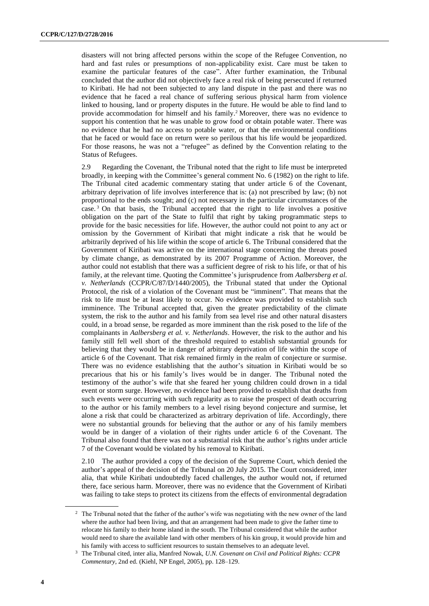disasters will not bring affected persons within the scope of the Refugee Convention, no hard and fast rules or presumptions of non-applicability exist. Care must be taken to examine the particular features of the case". After further examination, the Tribunal concluded that the author did not objectively face a real risk of being persecuted if returned to Kiribati. He had not been subjected to any land dispute in the past and there was no evidence that he faced a real chance of suffering serious physical harm from violence linked to housing, land or property disputes in the future. He would be able to find land to provide accommodation for himself and his family.<sup>2</sup> Moreover, there was no evidence to support his contention that he was unable to grow food or obtain potable water. There was no evidence that he had no access to potable water, or that the environmental conditions that he faced or would face on return were so perilous that his life would be jeopardized. For those reasons, he was not a "refugee" as defined by the Convention relating to the Status of Refugees.

2.9 Regarding the Covenant, the Tribunal noted that the right to life must be interpreted broadly, in keeping with the Committee's general comment No. 6 (1982) on the right to life. The Tribunal cited academic commentary stating that under article 6 of the Covenant, arbitrary deprivation of life involves interference that is: (a) not prescribed by law; (b) not proportional to the ends sought; and (c) not necessary in the particular circumstances of the case. <sup>3</sup> On that basis, the Tribunal accepted that the right to life involves a positive obligation on the part of the State to fulfil that right by taking programmatic steps to provide for the basic necessities for life. However, the author could not point to any act or omission by the Government of Kiribati that might indicate a risk that he would be arbitrarily deprived of his life within the scope of article 6. The Tribunal considered that the Government of Kiribati was active on the international stage concerning the threats posed by climate change, as demonstrated by its 2007 Programme of Action. Moreover, the author could not establish that there was a sufficient degree of risk to his life, or that of his family, at the relevant time. Quoting the Committee's jurisprudence from *Aalbersberg et al. v. Netherlands* (CCPR/C/87/D/1440/2005), the Tribunal stated that under the Optional Protocol, the risk of a violation of the Covenant must be "imminent". That means that the risk to life must be at least likely to occur. No evidence was provided to establish such imminence. The Tribunal accepted that, given the greater predictability of the climate system, the risk to the author and his family from sea level rise and other natural disasters could, in a broad sense, be regarded as more imminent than the risk posed to the life of the complainants in *Aalbersberg et al. v. Netherlands*. However, the risk to the author and his family still fell well short of the threshold required to establish substantial grounds for believing that they would be in danger of arbitrary deprivation of life within the scope of article 6 of the Covenant. That risk remained firmly in the realm of conjecture or surmise. There was no evidence establishing that the author's situation in Kiribati would be so precarious that his or his family's lives would be in danger. The Tribunal noted the testimony of the author's wife that she feared her young children could drown in a tidal event or storm surge. However, no evidence had been provided to establish that deaths from such events were occurring with such regularity as to raise the prospect of death occurring to the author or his family members to a level rising beyond conjecture and surmise, let alone a risk that could be characterized as arbitrary deprivation of life. Accordingly, there were no substantial grounds for believing that the author or any of his family members would be in danger of a violation of their rights under article 6 of the Covenant. The Tribunal also found that there was not a substantial risk that the author's rights under article 7 of the Covenant would be violated by his removal to Kiribati.

2.10 The author provided a copy of the decision of the Supreme Court, which denied the author's appeal of the decision of the Tribunal on 20 July 2015. The Court considered, inter alia, that while Kiribati undoubtedly faced challenges, the author would not, if returned there, face serious harm. Moreover, there was no evidence that the Government of Kiribati was failing to take steps to protect its citizens from the effects of environmental degradation

<sup>2</sup> The Tribunal noted that the father of the author's wife was negotiating with the new owner of the land where the author had been living, and that an arrangement had been made to give the father time to relocate his family to their home island in the south. The Tribunal considered that while the author would need to share the available land with other members of his kin group, it would provide him and his family with access to sufficient resources to sustain themselves to an adequate level.

<sup>3</sup> The Tribunal cited, inter alia, Manfred Nowak, *U.N. Covenant on Civil and Political Rights: CCPR Commentary*, 2nd ed. (Kiehl, NP Engel, 2005), pp. 128–129.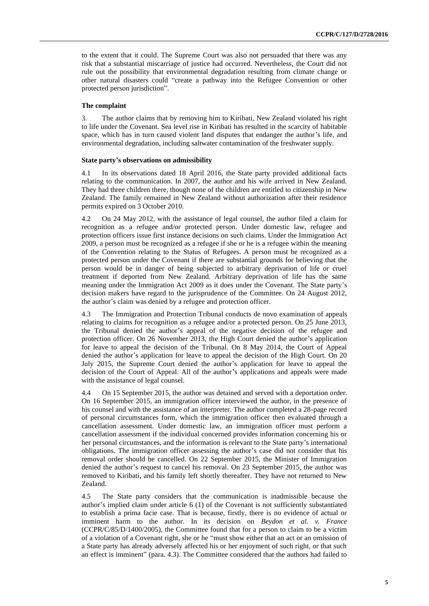to the extent that it could. The Supreme Court was also not persuaded that there was any risk that a substantial miscarriage of justice had occurred. Nevertheless, the Court did not rule out the possibility that environmental degradation resulting from climate change or other natural disasters could "create a pathway into the Refugee Convention or other protected person jurisdiction".

#### **The complaint**

3. The author claims that by removing him to Kiribati, New Zealand violated his right to life under the Covenant. Sea level rise in Kiribati has resulted in the scarcity of habitable space, which has in turn caused violent land disputes that endanger the author's life, and environmental degradation, including saltwater contamination of the freshwater supply.

#### **State party's observations on admissibility**

4.1 In its observations dated 18 April 2016, the State party provided additional facts relating to the communication. In 2007, the author and his wife arrived in New Zealand. They had three children there, though none of the children are entitled to citizenship in New Zealand. The family remained in New Zealand without authorization after their residence permits expired on 3 October 2010.

4.2 On 24 May 2012, with the assistance of legal counsel, the author filed a claim for recognition as a refugee and/or protected person. Under domestic law, refugee and protection officers issue first instance decisions on such claims. Under the Immigration Act 2009, a person must be recognized as a refugee if she or he is a refugee within the meaning of the Convention relating to the Status of Refugees. A person must be recognized as a protected person under the Covenant if there are substantial grounds for believing that the person would be in danger of being subjected to arbitrary deprivation of life or cruel treatment if deported from New Zealand. Arbitrary deprivation of life has the same meaning under the Immigration Act 2009 as it does under the Covenant. The State party's decision makers have regard to the jurisprudence of the Committee. On 24 August 2012, the author's claim was denied by a refugee and protection officer.

4.3 The Immigration and Protection Tribunal conducts de novo examination of appeals relating to claims for recognition as a refugee and/or a protected person. On 25 June 2013, the Tribunal denied the author's appeal of the negative decision of the refugee and protection officer. On 26 November 2013, the High Court denied the author's application for leave to appeal the decision of the Tribunal. On 8 May 2014, the Court of Appeal denied the author's application for leave to appeal the decision of the High Court. On 20 July 2015, the Supreme Court denied the author's application for leave to appeal the decision of the Court of Appeal. All of the author's applications and appeals were made with the assistance of legal counsel.

4.4 On 15 September 2015, the author was detained and served with a deportation order. On 16 September 2015, an immigration officer interviewed the author, in the presence of his counsel and with the assistance of an interpreter. The author completed a 28-page record of personal circumstances form, which the immigration officer then evaluated through a cancellation assessment. Under domestic law, an immigration officer must perform a cancellation assessment if the individual concerned provides information concerning his or her personal circumstances, and the information is relevant to the State party's international obligations. The immigration officer assessing the author's case did not consider that his removal order should be cancelled. On 22 September 2015, the Minister of Immigration denied the author's request to cancel his removal. On 23 September 2015, the author was removed to Kiribati, and his family left shortly thereafter. They have not returned to New Zealand.

4.5 The State party considers that the communication is inadmissible because the author's implied claim under article 6 (1) of the Covenant is not sufficiently substantiated to establish a prima facie case. That is because, firstly, there is no evidence of actual or imminent harm to the author. In its decision on *Beydon et al. v. France* (CCPR/C/85/D/1400/2005), the Committee found that for a person to claim to be a victim of a violation of a Covenant right, she or he "must show either that an act or an omission of a State party has already adversely affected his or her enjoyment of such right, or that such an effect is imminent" (para. 4.3). The Committee considered that the authors had failed to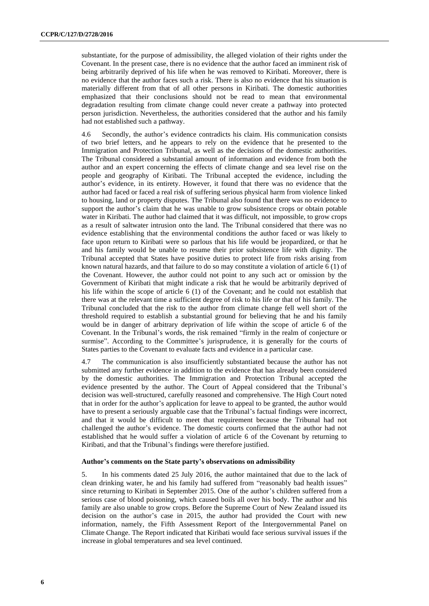substantiate, for the purpose of admissibility, the alleged violation of their rights under the Covenant. In the present case, there is no evidence that the author faced an imminent risk of being arbitrarily deprived of his life when he was removed to Kiribati. Moreover, there is no evidence that the author faces such a risk. There is also no evidence that his situation is materially different from that of all other persons in Kiribati. The domestic authorities emphasized that their conclusions should not be read to mean that environmental degradation resulting from climate change could never create a pathway into protected person jurisdiction. Nevertheless, the authorities considered that the author and his family had not established such a pathway.

4.6 Secondly, the author's evidence contradicts his claim. His communication consists of two brief letters, and he appears to rely on the evidence that he presented to the Immigration and Protection Tribunal, as well as the decisions of the domestic authorities. The Tribunal considered a substantial amount of information and evidence from both the author and an expert concerning the effects of climate change and sea level rise on the people and geography of Kiribati. The Tribunal accepted the evidence, including the author's evidence, in its entirety. However, it found that there was no evidence that the author had faced or faced a real risk of suffering serious physical harm from violence linked to housing, land or property disputes. The Tribunal also found that there was no evidence to support the author's claim that he was unable to grow subsistence crops or obtain potable water in Kiribati. The author had claimed that it was difficult, not impossible, to grow crops as a result of saltwater intrusion onto the land. The Tribunal considered that there was no evidence establishing that the environmental conditions the author faced or was likely to face upon return to Kiribati were so parlous that his life would be jeopardized, or that he and his family would be unable to resume their prior subsistence life with dignity. The Tribunal accepted that States have positive duties to protect life from risks arising from known natural hazards, and that failure to do so may constitute a violation of article 6 (1) of the Covenant. However, the author could not point to any such act or omission by the Government of Kiribati that might indicate a risk that he would be arbitrarily deprived of his life within the scope of article 6 (1) of the Covenant; and he could not establish that there was at the relevant time a sufficient degree of risk to his life or that of his family. The Tribunal concluded that the risk to the author from climate change fell well short of the threshold required to establish a substantial ground for believing that he and his family would be in danger of arbitrary deprivation of life within the scope of article 6 of the Covenant. In the Tribunal's words, the risk remained "firmly in the realm of conjecture or surmise". According to the Committee's jurisprudence, it is generally for the courts of States parties to the Covenant to evaluate facts and evidence in a particular case.

4.7 The communication is also insufficiently substantiated because the author has not submitted any further evidence in addition to the evidence that has already been considered by the domestic authorities. The Immigration and Protection Tribunal accepted the evidence presented by the author. The Court of Appeal considered that the Tribunal's decision was well-structured, carefully reasoned and comprehensive. The High Court noted that in order for the author's application for leave to appeal to be granted, the author would have to present a seriously arguable case that the Tribunal's factual findings were incorrect, and that it would be difficult to meet that requirement because the Tribunal had not challenged the author's evidence. The domestic courts confirmed that the author had not established that he would suffer a violation of article 6 of the Covenant by returning to Kiribati, and that the Tribunal's findings were therefore justified.

#### **Author's comments on the State party's observations on admissibility**

5. In his comments dated 25 July 2016, the author maintained that due to the lack of clean drinking water, he and his family had suffered from "reasonably bad health issues" since returning to Kiribati in September 2015. One of the author's children suffered from a serious case of blood poisoning, which caused boils all over his body. The author and his family are also unable to grow crops. Before the Supreme Court of New Zealand issued its decision on the author's case in 2015, the author had provided the Court with new information, namely, the Fifth Assessment Report of the Intergovernmental Panel on Climate Change. The Report indicated that Kiribati would face serious survival issues if the increase in global temperatures and sea level continued.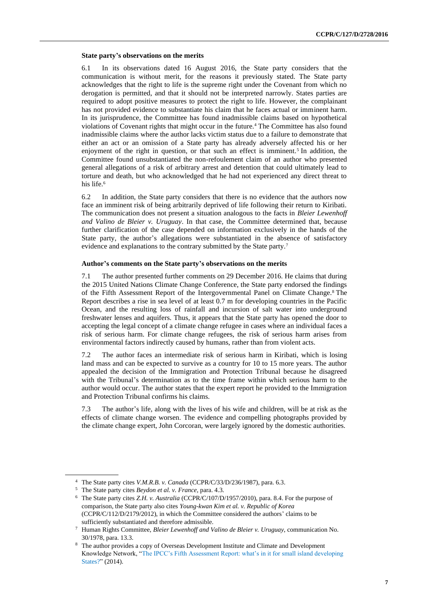#### **State party's observations on the merits**

6.1 In its observations dated 16 August 2016, the State party considers that the communication is without merit, for the reasons it previously stated. The State party acknowledges that the right to life is the supreme right under the Covenant from which no derogation is permitted, and that it should not be interpreted narrowly. States parties are required to adopt positive measures to protect the right to life. However, the complainant has not provided evidence to substantiate his claim that he faces actual or imminent harm. In its jurisprudence, the Committee has found inadmissible claims based on hypothetical violations of Covenant rights that might occur in the future.<sup>4</sup> The Committee has also found inadmissible claims where the author lacks victim status due to a failure to demonstrate that either an act or an omission of a State party has already adversely affected his or her enjoyment of the right in question, or that such an effect is imminent.<sup>5</sup> In addition, the Committee found unsubstantiated the non-refoulement claim of an author who presented general allegations of a risk of arbitrary arrest and detention that could ultimately lead to torture and death, but who acknowledged that he had not experienced any direct threat to his life.<sup>6</sup>

6.2 In addition, the State party considers that there is no evidence that the authors now face an imminent risk of being arbitrarily deprived of life following their return to Kiribati. The communication does not present a situation analogous to the facts in *Bleier Lewenhoff and Valino de Bleier v. Uruguay*. In that case, the Committee determined that, because further clarification of the case depended on information exclusively in the hands of the State party, the author's allegations were substantiated in the absence of satisfactory evidence and explanations to the contrary submitted by the State party.<sup>7</sup>

#### **Author's comments on the State party's observations on the merits**

7.1 The author presented further comments on 29 December 2016. He claims that during the 2015 United Nations Climate Change Conference, the State party endorsed the findings of the Fifth Assessment Report of the Intergovernmental Panel on Climate Change.<sup>8</sup> The Report describes a rise in sea level of at least 0.7 m for developing countries in the Pacific Ocean, and the resulting loss of rainfall and incursion of salt water into underground freshwater lenses and aquifers. Thus, it appears that the State party has opened the door to accepting the legal concept of a climate change refugee in cases where an individual faces a risk of serious harm. For climate change refugees, the risk of serious harm arises from environmental factors indirectly caused by humans, rather than from violent acts.

7.2 The author faces an intermediate risk of serious harm in Kiribati, which is losing land mass and can be expected to survive as a country for 10 to 15 more years. The author appealed the decision of the Immigration and Protection Tribunal because he disagreed with the Tribunal's determination as to the time frame within which serious harm to the author would occur. The author states that the expert report he provided to the Immigration and Protection Tribunal confirms his claims.

7.3 The author's life, along with the lives of his wife and children, will be at risk as the effects of climate change worsen. The evidence and compelling photographs provided by the climate change expert, John Corcoran, were largely ignored by the domestic authorities.

<sup>4</sup> The State party cites *V.M.R.B. v. Canada* (CCPR/C/33/D/236/1987), para. 6.3.

<sup>5</sup> The State party cites *Beydon et al. v. France*, para. 4.3.

<sup>6</sup> The State party cites *Z.H. v. Australia* (CCPR/C/107/D/1957/2010), para. 8.4. For the purpose of comparison, the State party also cites *Young-kwan Kim et al. v. Republic of Korea* (CCPR/C/112/D/2179/2012), in which the Committee considered the authors' claims to be sufficiently substantiated and therefore admissible.

<sup>7</sup> Human Rights Committee, *Bleier Lewenhoff and Valino de Bleier v. Uruguay*, communication No. 30/1978, para. 13.3.

<sup>8</sup> The author provides a copy of Overseas Development Institute and Climate and Development Knowledge Network, ["The IPCC's Fifth Assessment Report: what's in it for small island developing](https://cdkn.org/wp-content/uploads/2014/08/IPCC-AR5-Whats-in-it-for-SIDS_WEB.pdf)  [States?"](https://cdkn.org/wp-content/uploads/2014/08/IPCC-AR5-Whats-in-it-for-SIDS_WEB.pdf) (2014).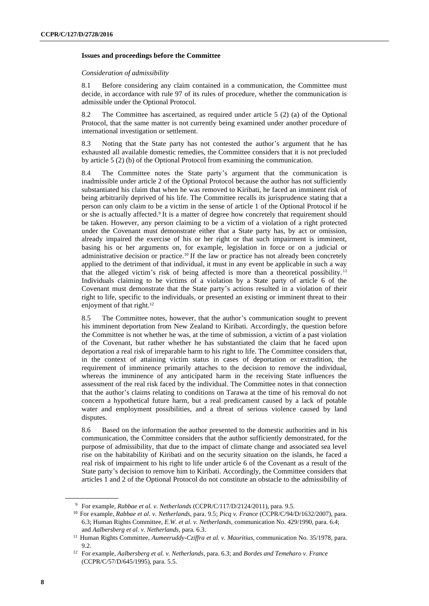#### **Issues and proceedings before the Committee**

#### *Consideration of admissibility*

8.1 Before considering any claim contained in a communication, the Committee must decide, in accordance with rule 97 of its rules of procedure, whether the communication is admissible under the Optional Protocol.

8.2 The Committee has ascertained, as required under article 5 (2) (a) of the Optional Protocol, that the same matter is not currently being examined under another procedure of international investigation or settlement.

8.3 Noting that the State party has not contested the author's argument that he has exhausted all available domestic remedies, the Committee considers that it is not precluded by article 5 (2) (b) of the Optional Protocol from examining the communication.

8.4 The Committee notes the State party's argument that the communication is inadmissible under article 2 of the Optional Protocol because the author has not sufficiently substantiated his claim that when he was removed to Kiribati, he faced an imminent risk of being arbitrarily deprived of his life. The Committee recalls its jurisprudence stating that a person can only claim to be a victim in the sense of article 1 of the Optional Protocol if he or she is actually affected.<sup>9</sup> It is a matter of degree how concretely that requirement should be taken. However, any person claiming to be a victim of a violation of a right protected under the Covenant must demonstrate either that a State party has, by act or omission, already impaired the exercise of his or her right or that such impairment is imminent, basing his or her arguments on, for example, legislation in force or on a judicial or administrative decision or practice.<sup>10</sup> If the law or practice has not already been concretely applied to the detriment of that individual, it must in any event be applicable in such a way that the alleged victim's risk of being affected is more than a theoretical possibility. <sup>11</sup> Individuals claiming to be victims of a violation by a State party of article 6 of the Covenant must demonstrate that the State party's actions resulted in a violation of their right to life, specific to the individuals, or presented an existing or imminent threat to their enjoyment of that right.<sup>12</sup>

8.5 The Committee notes, however, that the author's communication sought to prevent his imminent deportation from New Zealand to Kiribati. Accordingly, the question before the Committee is not whether he was, at the time of submission, a victim of a past violation of the Covenant, but rather whether he has substantiated the claim that he faced upon deportation a real risk of irreparable harm to his right to life. The Committee considers that, in the context of attaining victim status in cases of deportation or extradition, the requirement of imminence primarily attaches to the decision to remove the individual, whereas the imminence of any anticipated harm in the receiving State influences the assessment of the real risk faced by the individual. The Committee notes in that connection that the author's claims relating to conditions on Tarawa at the time of his removal do not concern a hypothetical future harm, but a real predicament caused by a lack of potable water and employment possibilities, and a threat of serious violence caused by land disputes.

8.6 Based on the information the author presented to the domestic authorities and in his communication, the Committee considers that the author sufficiently demonstrated, for the purpose of admissibility, that due to the impact of climate change and associated sea level rise on the habitability of Kiribati and on the security situation on the islands, he faced a real risk of impairment to his right to life under article 6 of the Covenant as a result of the State party's decision to remove him to Kiribati. Accordingly, the Committee considers that articles 1 and 2 of the Optional Protocol do not constitute an obstacle to the admissibility of

<sup>9</sup> For example, *Rabbae et al. v. Netherlands* (CCPR/C/117/D/2124/2011), para. 9.5.

<sup>10</sup> For example, *Rabbae et al. v. Netherlands*, para. 9.5; *Picq v. France* (CCPR/C/94/D/1632/2007), para. 6.3; Human Rights Committee, *E.W. et al. v. Netherlands*, communication No. 429/1990, para. 6.4; and *Aalbersberg et al. v. Netherlands*, para. 6.3.

<sup>11</sup> Human Rights Committee, *Aumeeruddy-Cziffra et al. v. Mauritius*, communication No. 35/1978, para. 9.2.

<sup>12</sup> For example, *Aalbersberg et al. v. Netherlands*, para. 6.3; and *Bordes and Temeharo v. France* (CCPR/C/57/D/645/1995), para. 5.5.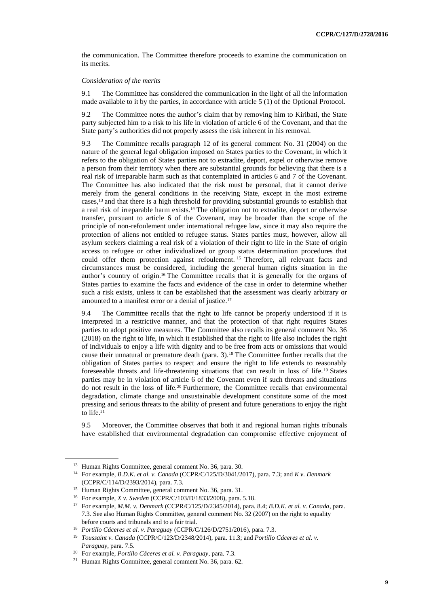the communication. The Committee therefore proceeds to examine the communication on its merits.

#### *Consideration of the merits*

9.1 The Committee has considered the communication in the light of all the information made available to it by the parties, in accordance with article 5 (1) of the Optional Protocol.

9.2 The Committee notes the author's claim that by removing him to Kiribati, the State party subjected him to a risk to his life in violation of article 6 of the Covenant, and that the State party's authorities did not properly assess the risk inherent in his removal.

9.3 The Committee recalls paragraph 12 of its general comment No. 31 (2004) on the nature of the general legal obligation imposed on States parties to the Covenant, in which it refers to the obligation of States parties not to extradite, deport, expel or otherwise remove a person from their territory when there are substantial grounds for believing that there is a real risk of irreparable harm such as that contemplated in articles 6 and 7 of the Covenant. The Committee has also indicated that the risk must be personal, that it cannot derive merely from the general conditions in the receiving State, except in the most extreme cases,<sup>13</sup> and that there is a high threshold for providing substantial grounds to establish that a real risk of irreparable harm exists.<sup>14</sup> The obligation not to extradite, deport or otherwise transfer, pursuant to article 6 of the Covenant, may be broader than the scope of the principle of non-refoulement under international refugee law, since it may also require the protection of aliens not entitled to refugee status. States parties must, however, allow all asylum seekers claiming a real risk of a violation of their right to life in the State of origin access to refugee or other individualized or group status determination procedures that could offer them protection against refoulement. <sup>15</sup> Therefore, all relevant facts and circumstances must be considered, including the general human rights situation in the author's country of origin.<sup>16</sup> The Committee recalls that it is generally for the organs of States parties to examine the facts and evidence of the case in order to determine whether such a risk exists, unless it can be established that the assessment was clearly arbitrary or amounted to a manifest error or a denial of justice.<sup>17</sup>

9.4 The Committee recalls that the right to life cannot be properly understood if it is interpreted in a restrictive manner, and that the protection of that right requires States parties to adopt positive measures. The Committee also recalls its general comment No. 36 (2018) on the right to life, in which it established that the right to life also includes the right of individuals to enjoy a life with dignity and to be free from acts or omissions that would cause their unnatural or premature death (para. 3).<sup>18</sup> The Committee further recalls that the obligation of States parties to respect and ensure the right to life extends to reasonably foreseeable threats and life-threatening situations that can result in loss of life. <sup>19</sup> States parties may be in violation of article 6 of the Covenant even if such threats and situations do not result in the loss of life.<sup>20</sup> Furthermore, the Committee recalls that environmental degradation, climate change and unsustainable development constitute some of the most pressing and serious threats to the ability of present and future generations to enjoy the right to life.<sup>21</sup>

9.5 Moreover, the Committee observes that both it and regional human rights tribunals have established that environmental degradation can compromise effective enjoyment of

<sup>&</sup>lt;sup>13</sup> Human Rights Committee, general comment No. 36, para. 30.

<sup>14</sup> For example, *B.D.K. et al. v. Canada* (CCPR/C/125/D/3041/2017), para. 7.3; and *K v. Denmark* (CCPR/C/114/D/2393/2014), para. 7.3.

<sup>15</sup> Human Rights Committee, general comment No. 36, para. 31.

<sup>16</sup> For example, *X v. Sweden* (CCPR/C/103/D/1833/2008), para. 5.18.

<sup>17</sup> For example, *M.M. v. Denmark* (CCPR/C/125/D/2345/2014), para. 8.4; *B.D.K. et al. v. Canada*, para. 7.3. See also Human Rights Committee, general comment No. 32 (2007) on the right to equality before courts and tribunals and to a fair trial.

<sup>18</sup> *Portillo Cáceres et al. v. Paraguay* (CCPR/C/126/D/2751/2016), para. 7.3.

<sup>19</sup> *Toussaint v. Canada* (CCPR/C/123/D/2348/2014), para. 11.3; and *Portillo Cáceres et al. v. Paraguay*, para. 7.5.

<sup>20</sup> For example, *Portillo Cáceres et al. v. Paraguay*, para. 7.3.

<sup>21</sup> Human Rights Committee, general comment No. 36, para. 62.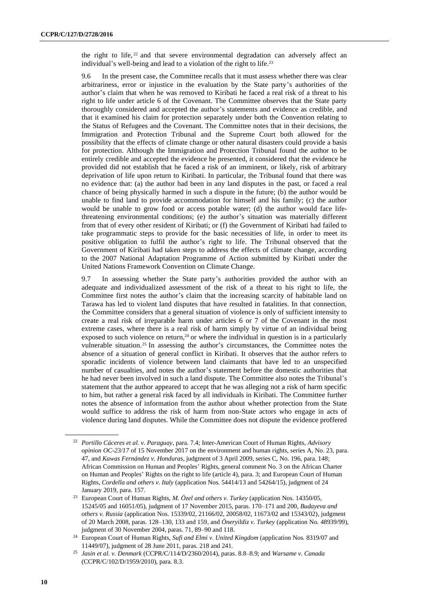the right to life,  $22$  and that severe environmental degradation can adversely affect an individual's well-being and lead to a violation of the right to life.<sup>23</sup>

9.6 In the present case, the Committee recalls that it must assess whether there was clear arbitrariness, error or injustice in the evaluation by the State party's authorities of the author's claim that when he was removed to Kiribati he faced a real risk of a threat to his right to life under article 6 of the Covenant. The Committee observes that the State party thoroughly considered and accepted the author's statements and evidence as credible, and that it examined his claim for protection separately under both the Convention relating to the Status of Refugees and the Covenant. The Committee notes that in their decisions, the Immigration and Protection Tribunal and the Supreme Court both allowed for the possibility that the effects of climate change or other natural disasters could provide a basis for protection. Although the Immigration and Protection Tribunal found the author to be entirely credible and accepted the evidence he presented, it considered that the evidence he provided did not establish that he faced a risk of an imminent, or likely, risk of arbitrary deprivation of life upon return to Kiribati. In particular, the Tribunal found that there was no evidence that: (a) the author had been in any land disputes in the past, or faced a real chance of being physically harmed in such a dispute in the future; (b) the author would be unable to find land to provide accommodation for himself and his family; (c) the author would be unable to grow food or access potable water; (d) the author would face lifethreatening environmental conditions; (e) the author's situation was materially different from that of every other resident of Kiribati; or (f) the Government of Kiribati had failed to take programmatic steps to provide for the basic necessities of life, in order to meet its positive obligation to fulfil the author's right to life. The Tribunal observed that the Government of Kiribati had taken steps to address the effects of climate change, according to the 2007 National Adaptation Programme of Action submitted by Kiribati under the United Nations Framework Convention on Climate Change.

9.7 In assessing whether the State party's authorities provided the author with an adequate and individualized assessment of the risk of a threat to his right to life, the Committee first notes the author's claim that the increasing scarcity of habitable land on Tarawa has led to violent land disputes that have resulted in fatalities. In that connection, the Committee considers that a general situation of violence is only of sufficient intensity to create a real risk of irreparable harm under articles 6 or 7 of the Covenant in the most extreme cases, where there is a real risk of harm simply by virtue of an individual being exposed to such violence on return,  $24$  or where the individual in question is in a particularly vulnerable situation.<sup>25</sup> In assessing the author's circumstances, the Committee notes the absence of a situation of general conflict in Kiribati. It observes that the author refers to sporadic incidents of violence between land claimants that have led to an unspecified number of casualties, and notes the author's statement before the domestic authorities that he had never been involved in such a land dispute. The Committee also notes the Tribunal's statement that the author appeared to accept that he was alleging not a risk of harm specific to him, but rather a general risk faced by all individuals in Kiribati. The Committee further notes the absence of information from the author about whether protection from the State would suffice to address the risk of harm from non-State actors who engage in acts of violence during land disputes. While the Committee does not dispute the evidence proffered

<sup>22</sup> *Portillo Cáceres et al. v. Paraguay*, para. 7.4; Inter-American Court of Human Rights, *Advisory opinion OC-23/17* of 15 November 2017 on the environment and human rights, series A, No. 23, para. 47, and *Kawas Fernández v. Honduras*, judgment of 3 April 2009, series C, No. 196, para. 148; African Commission on Human and Peoples' Rights, general comment No. 3 on the African Charter on Human and Peoples' Rights on the right to life (article 4), para. 3; and European Court of Human Rights, *Cordella and others v. Italy* (application Nos. 54414/13 and 54264/15), judgment of 24 January 2019, para. 157.

<sup>23</sup> European Court of Human Rights, *M. Özel and others v. Turkey* (application Nos. 14350/05, 15245/05 and 16051/05), judgment of 17 November 2015, paras. 170–171 and 200, *Budayeva and others v. Russia* (application Nos. 15339/02, 21166/02, 20058/02, 11673/02 and 15343/02), judgment of 20 March 2008, paras. 128–130, 133 and 159, and *Öneryildiz v. Turkey* (application No. 48939/99), judgment of 30 November 2004, paras. 71, 89–90 and 118.

<sup>24</sup> European Court of Human Rights, *Sufi and Elmi v. United Kingdom* (application Nos. 8319/07 and 11449/07), judgment of 28 June 2011, paras. 218 and 241.

<sup>25</sup> *Jasin et al. v. Denmark* (CCPR/C/114/D/2360/2014), paras. 8.8–8.9; and *Warsame v. Canada* (CCPR/C/102/D/1959/2010), para. 8.3.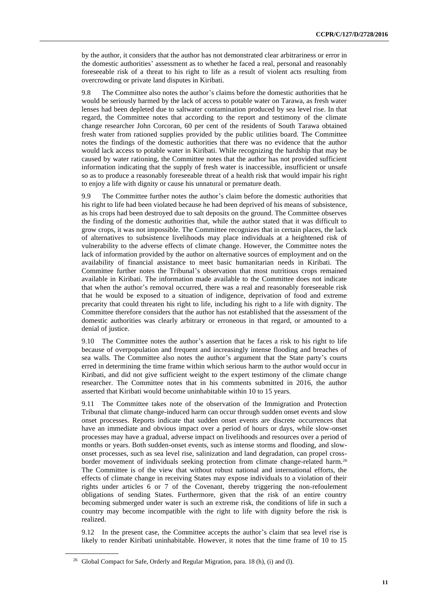by the author, it considers that the author has not demonstrated clear arbitrariness or error in the domestic authorities' assessment as to whether he faced a real, personal and reasonably foreseeable risk of a threat to his right to life as a result of violent acts resulting from overcrowding or private land disputes in Kiribati.

9.8 The Committee also notes the author's claims before the domestic authorities that he would be seriously harmed by the lack of access to potable water on Tarawa, as fresh water lenses had been depleted due to saltwater contamination produced by sea level rise. In that regard, the Committee notes that according to the report and testimony of the climate change researcher John Corcoran, 60 per cent of the residents of South Tarawa obtained fresh water from rationed supplies provided by the public utilities board. The Committee notes the findings of the domestic authorities that there was no evidence that the author would lack access to potable water in Kiribati. While recognizing the hardship that may be caused by water rationing, the Committee notes that the author has not provided sufficient information indicating that the supply of fresh water is inaccessible, insufficient or unsafe so as to produce a reasonably foreseeable threat of a health risk that would impair his right to enjoy a life with dignity or cause his unnatural or premature death.

9.9 The Committee further notes the author's claim before the domestic authorities that his right to life had been violated because he had been deprived of his means of subsistence, as his crops had been destroyed due to salt deposits on the ground. The Committee observes the finding of the domestic authorities that, while the author stated that it was difficult to grow crops, it was not impossible. The Committee recognizes that in certain places, the lack of alternatives to subsistence livelihoods may place individuals at a heightened risk of vulnerability to the adverse effects of climate change. However, the Committee notes the lack of information provided by the author on alternative sources of employment and on the availability of financial assistance to meet basic humanitarian needs in Kiribati. The Committee further notes the Tribunal's observation that most nutritious crops remained available in Kiribati. The information made available to the Committee does not indicate that when the author's removal occurred, there was a real and reasonably foreseeable risk that he would be exposed to a situation of indigence, deprivation of food and extreme precarity that could threaten his right to life, including his right to a life with dignity. The Committee therefore considers that the author has not established that the assessment of the domestic authorities was clearly arbitrary or erroneous in that regard, or amounted to a denial of justice.

9.10 The Committee notes the author's assertion that he faces a risk to his right to life because of overpopulation and frequent and increasingly intense flooding and breaches of sea walls. The Committee also notes the author's argument that the State party's courts erred in determining the time frame within which serious harm to the author would occur in Kiribati, and did not give sufficient weight to the expert testimony of the climate change researcher. The Committee notes that in his comments submitted in 2016, the author asserted that Kiribati would become uninhabitable within 10 to 15 years.

9.11 The Committee takes note of the observation of the Immigration and Protection Tribunal that climate change-induced harm can occur through sudden onset events and slow onset processes. Reports indicate that sudden onset events are discrete occurrences that have an immediate and obvious impact over a period of hours or days, while slow-onset processes may have a gradual, adverse impact on livelihoods and resources over a period of months or years. Both sudden-onset events, such as intense storms and flooding, and slowonset processes, such as sea level rise, salinization and land degradation, can propel crossborder movement of individuals seeking protection from climate change-related harm.<sup>26</sup> The Committee is of the view that without robust national and international efforts, the effects of climate change in receiving States may expose individuals to a violation of their rights under articles 6 or 7 of the Covenant, thereby triggering the non-refoulement obligations of sending States. Furthermore, given that the risk of an entire country becoming submerged under water is such an extreme risk, the conditions of life in such a country may become incompatible with the right to life with dignity before the risk is realized.

9.12 In the present case, the Committee accepts the author's claim that sea level rise is likely to render Kiribati uninhabitable. However, it notes that the time frame of 10 to 15

<sup>26</sup> Global Compact for Safe, Orderly and Regular Migration, para. 18 (h), (i) and (l).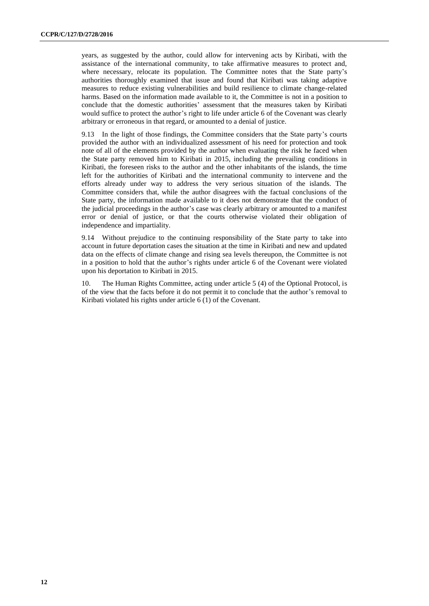years, as suggested by the author, could allow for intervening acts by Kiribati, with the assistance of the international community, to take affirmative measures to protect and, where necessary, relocate its population. The Committee notes that the State party's authorities thoroughly examined that issue and found that Kiribati was taking adaptive measures to reduce existing vulnerabilities and build resilience to climate change-related harms. Based on the information made available to it, the Committee is not in a position to conclude that the domestic authorities' assessment that the measures taken by Kiribati would suffice to protect the author's right to life under article 6 of the Covenant was clearly arbitrary or erroneous in that regard, or amounted to a denial of justice.

9.13 In the light of those findings, the Committee considers that the State party's courts provided the author with an individualized assessment of his need for protection and took note of all of the elements provided by the author when evaluating the risk he faced when the State party removed him to Kiribati in 2015, including the prevailing conditions in Kiribati, the foreseen risks to the author and the other inhabitants of the islands, the time left for the authorities of Kiribati and the international community to intervene and the efforts already under way to address the very serious situation of the islands. The Committee considers that, while the author disagrees with the factual conclusions of the State party, the information made available to it does not demonstrate that the conduct of the judicial proceedings in the author's case was clearly arbitrary or amounted to a manifest error or denial of justice, or that the courts otherwise violated their obligation of independence and impartiality.

9.14 Without prejudice to the continuing responsibility of the State party to take into account in future deportation cases the situation at the time in Kiribati and new and updated data on the effects of climate change and rising sea levels thereupon, the Committee is not in a position to hold that the author's rights under article 6 of the Covenant were violated upon his deportation to Kiribati in 2015.

10. The Human Rights Committee, acting under article 5 (4) of the Optional Protocol, is of the view that the facts before it do not permit it to conclude that the author's removal to Kiribati violated his rights under article 6 (1) of the Covenant.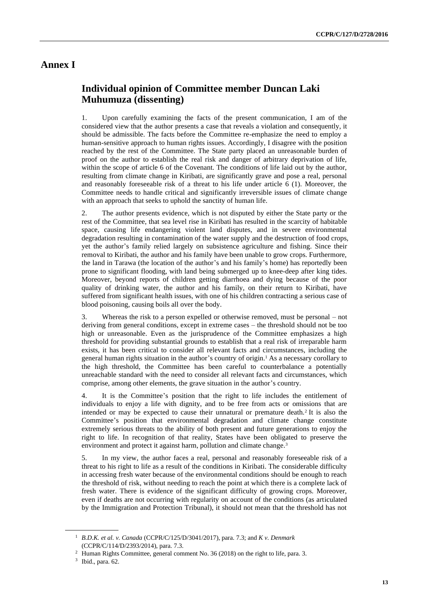### **Annex I**

## **Individual opinion of Committee member Duncan Laki Muhumuza (dissenting)**

1. Upon carefully examining the facts of the present communication, I am of the considered view that the author presents a case that reveals a violation and consequently, it should be admissible. The facts before the Committee re-emphasize the need to employ a human-sensitive approach to human rights issues. Accordingly, I disagree with the position reached by the rest of the Committee. The State party placed an unreasonable burden of proof on the author to establish the real risk and danger of arbitrary deprivation of life, within the scope of article 6 of the Covenant. The conditions of life laid out by the author, resulting from climate change in Kiribati, are significantly grave and pose a real, personal and reasonably foreseeable risk of a threat to his life under article 6 (1). Moreover, the Committee needs to handle critical and significantly irreversible issues of climate change with an approach that seeks to uphold the sanctity of human life.

2. The author presents evidence, which is not disputed by either the State party or the rest of the Committee, that sea level rise in Kiribati has resulted in the scarcity of habitable space, causing life endangering violent land disputes, and in severe environmental degradation resulting in contamination of the water supply and the destruction of food crops, yet the author's family relied largely on subsistence agriculture and fishing. Since their removal to Kiribati, the author and his family have been unable to grow crops. Furthermore, the land in Tarawa (the location of the author's and his family's home) has reportedly been prone to significant flooding, with land being submerged up to knee-deep after king tides. Moreover, beyond reports of children getting diarrhoea and dying because of the poor quality of drinking water, the author and his family, on their return to Kiribati, have suffered from significant health issues, with one of his children contracting a serious case of blood poisoning, causing boils all over the body.

3. Whereas the risk to a person expelled or otherwise removed, must be personal – not deriving from general conditions, except in extreme cases – the threshold should not be too high or unreasonable. Even as the jurisprudence of the Committee emphasizes a high threshold for providing substantial grounds to establish that a real risk of irreparable harm exists, it has been critical to consider all relevant facts and circumstances, including the general human rights situation in the author's country of origin.<sup>1</sup> As a necessary corollary to the high threshold, the Committee has been careful to counterbalance a potentially unreachable standard with the need to consider all relevant facts and circumstances, which comprise, among other elements, the grave situation in the author's country.

4. It is the Committee's position that the right to life includes the entitlement of individuals to enjoy a life with dignity, and to be free from acts or omissions that are intended or may be expected to cause their unnatural or premature death.<sup>2</sup> It is also the Committee's position that environmental degradation and climate change constitute extremely serious threats to the ability of both present and future generations to enjoy the right to life. In recognition of that reality, States have been obligated to preserve the environment and protect it against harm, pollution and climate change.<sup>3</sup>

5. In my view, the author faces a real, personal and reasonably foreseeable risk of a threat to his right to life as a result of the conditions in Kiribati. The considerable difficulty in accessing fresh water because of the environmental conditions should be enough to reach the threshold of risk, without needing to reach the point at which there is a complete lack of fresh water. There is evidence of the significant difficulty of growing crops. Moreover, even if deaths are not occurring with regularity on account of the conditions (as articulated by the Immigration and Protection Tribunal), it should not mean that the threshold has not

<sup>1</sup> *B.D.K. et al. v. Canada* (CCPR/C/125/D/3041/2017), para. 7.3; and *K v. Denmark*  (CCPR/C/114/D/2393/2014), para. 7.3.

<sup>2</sup> Human Rights Committee, general comment No. 36 (2018) on the right to life, para. 3.

<sup>3</sup> Ibid., para. 62.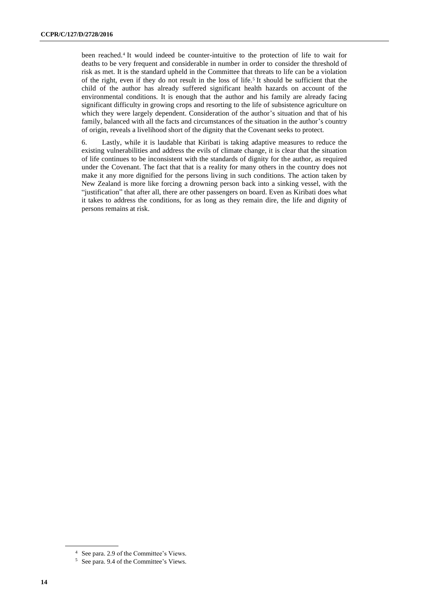been reached.<sup>4</sup> It would indeed be counter-intuitive to the protection of life to wait for deaths to be very frequent and considerable in number in order to consider the threshold of risk as met. It is the standard upheld in the Committee that threats to life can be a violation of the right, even if they do not result in the loss of life.<sup>5</sup> It should be sufficient that the child of the author has already suffered significant health hazards on account of the environmental conditions. It is enough that the author and his family are already facing significant difficulty in growing crops and resorting to the life of subsistence agriculture on which they were largely dependent. Consideration of the author's situation and that of his family, balanced with all the facts and circumstances of the situation in the author's country of origin, reveals a livelihood short of the dignity that the Covenant seeks to protect.

6. Lastly, while it is laudable that Kiribati is taking adaptive measures to reduce the existing vulnerabilities and address the evils of climate change, it is clear that the situation of life continues to be inconsistent with the standards of dignity for the author, as required under the Covenant. The fact that that is a reality for many others in the country does not make it any more dignified for the persons living in such conditions. The action taken by New Zealand is more like forcing a drowning person back into a sinking vessel, with the "justification" that after all, there are other passengers on board. Even as Kiribati does what it takes to address the conditions, for as long as they remain dire, the life and dignity of persons remains at risk.

<sup>4</sup> See para. 2.9 of the Committee's Views.

<sup>5</sup> See para. 9.4 of the Committee's Views.